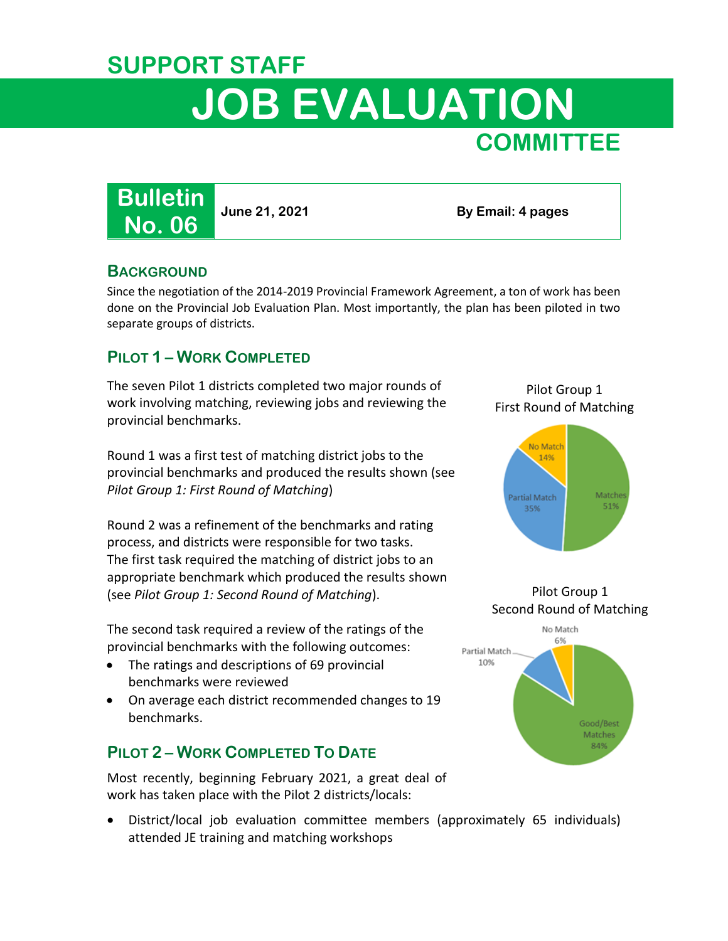# **SUPPORT STAFF JOB EVALUATION COMMITTEE**

**Bulletin No. 06**

**June 21, 2021 By Email: 4 pages**

#### **BACKGROUND**

Since the negotiation of the 2014-2019 Provincial Framework Agreement, a ton of work has been done on the Provincial Job Evaluation Plan. Most importantly, the plan has been piloted in two separate groups of districts.

### **PILOT 1 – WORK COMPLETED**

The seven Pilot 1 districts completed two major rounds of work involving matching, reviewing jobs and reviewing the provincial benchmarks.

Round 1 was a first test of matching district jobs to the provincial benchmarks and produced the results shown (see *Pilot Group 1: First Round of Matching*)

Round 2 was a refinement of the benchmarks and rating process, and districts were responsible for two tasks. The first task required the matching of district jobs to an appropriate benchmark which produced the results shown (see *Pilot Group 1: Second Round of Matching*).

The second task required a review of the ratings of the provincial benchmarks with the following outcomes:

- The ratings and descriptions of 69 provincial benchmarks were reviewed
- On average each district recommended changes to 19 benchmarks.

# **PILOT 2 – WORK COMPLETED TO DATE**

Most recently, beginning February 2021, a great deal of work has taken place with the Pilot 2 districts/locals:

 District/local job evaluation committee members (approximately 65 individuals) attended JE training and matching workshops

Pilot Group 1 First Round of Matching



Pilot Group 1 Second Round of Matching

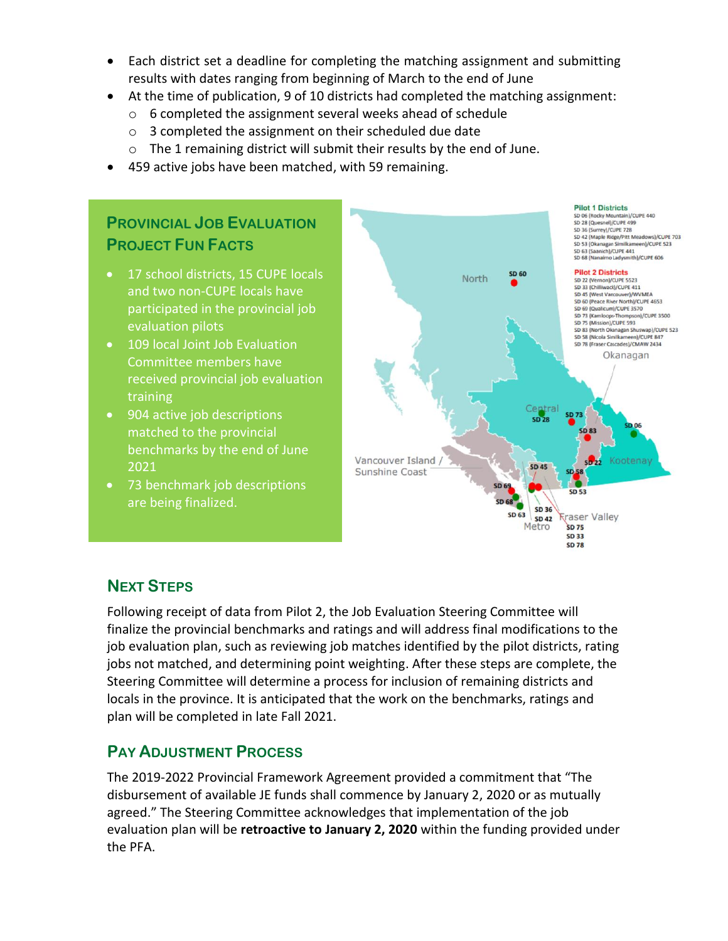- Each district set a deadline for completing the matching assignment and submitting results with dates ranging from beginning of March to the end of June
- At the time of publication, 9 of 10 districts had completed the matching assignment:
	- o 6 completed the assignment several weeks ahead of schedule
	- o 3 completed the assignment on their scheduled due date
	- o The 1 remaining district will submit their results by the end of June.
- 459 active jobs have been matched, with 59 remaining.

#### **Pilot 1 Districts** SD 06 (Rocky Mountain)/CUPE 440 **PROVINCIAL JOB EVALUATION**  SD 28 (Quesnel)/CUPE 499<br>SD 36 (Surrey)/CUPE 728 SD 42 (Maple Ridge/Pitt Meadows)/CUPE 703 **PROJECT FUN FACTS** So 53 (Okanagan Similkameen)/CUPE 523<br>SD 53 (Okanagan Similkameen)/CUPE 523<br>SD 63 (Saanich)/CUPE 441<br>SD 68 (Nanaimo Ladysmith)/CUPE 606 **Pilot 2 Districts**  17 school districts, 15 CUPE locals SD 60 North SD 22 (Vernon)/CUPE 5523<br>SD 33 (Chilliwack)/CUPE 411 and two non-CUPE locals have SD 35 (Chiliwack)/COPE 411<br>SD 45 (West Vancouver)/WVMEA<br>SD 60 (Peace River North)/CUPE 4653<br>SD 69 (Qualicum)/CUPE 3570 participated in the provincial job SD 73 (Kamloops-Thor SD 75 (Mission)/CUPE 593<br>SD 83 (North Okanagan Shi evaluation pilots SD 58 (Nicola Similkameen)/CUPE 847 109 local Joint Job Evaluation SD 78 (Fraser Cascades)/CMAW 2434 Okanagan Committee members have received provincial job evaluation training Ceptral 904 active job descriptions **SD 73** matched to the provincial **SD 83** benchmarks by the end of June Vancouver Island / 2021 Sunshine Coast 73 benchmark job descriptions **SD 53** are being finalized.**SD 36** SD 63 **Kraser Valley**

on)/CUPE 3500

otena

**SD 42** Metro

**SD 75 SD 33 SD 78** 

# **NEXT STEPS**

Following receipt of data from Pilot 2, the Job Evaluation Steering Committee will finalize the provincial benchmarks and ratings and will address final modifications to the job evaluation plan, such as reviewing job matches identified by the pilot districts, rating jobs not matched, and determining point weighting. After these steps are complete, the Steering Committee will determine a process for inclusion of remaining districts and locals in the province. It is anticipated that the work on the benchmarks, ratings and plan will be completed in late Fall 2021.

### **PAY ADJUSTMENT PROCESS**

The 2019-2022 Provincial Framework Agreement provided a commitment that "The disbursement of available JE funds shall commence by January 2, 2020 or as mutually agreed." The Steering Committee acknowledges that implementation of the job evaluation plan will be **retroactive to January 2, 2020** within the funding provided under the PFA.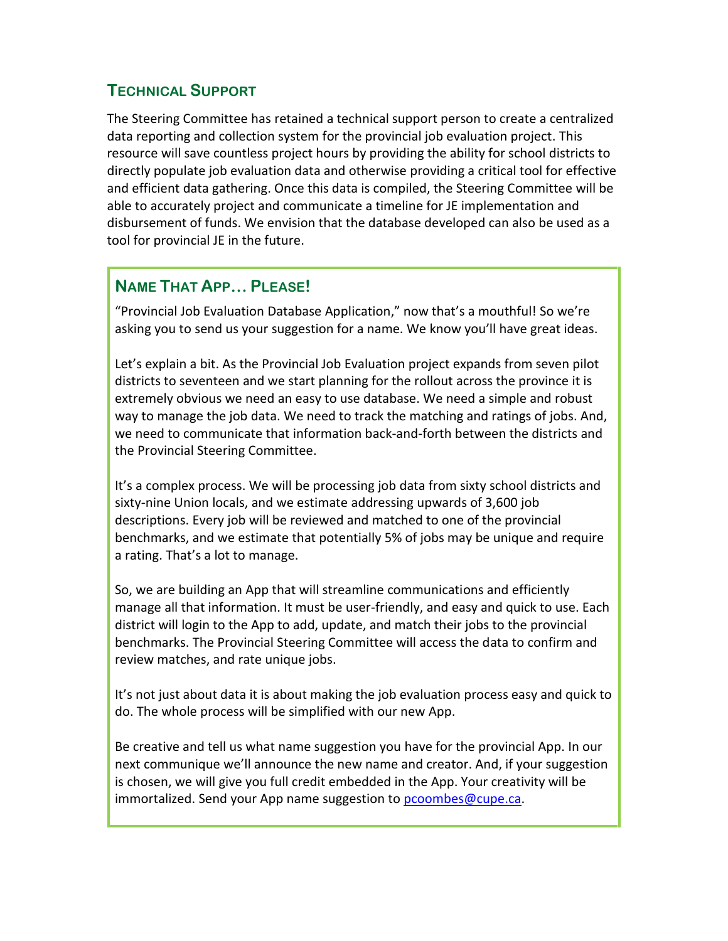### **TECHNICAL SUPPORT**

The Steering Committee has retained a technical support person to create a centralized data reporting and collection system for the provincial job evaluation project. This resource will save countless project hours by providing the ability for school districts to directly populate job evaluation data and otherwise providing a critical tool for effective and efficient data gathering. Once this data is compiled, the Steering Committee will be able to accurately project and communicate a timeline for JE implementation and disbursement of funds. We envision that the database developed can also be used as a tool for provincial JE in the future.

### **NAME THAT APP… PLEASE!**

"Provincial Job Evaluation Database Application," now that's a mouthful! So we're asking you to send us your suggestion for a name. We know you'll have great ideas.

Let's explain a bit. As the Provincial Job Evaluation project expands from seven pilot districts to seventeen and we start planning for the rollout across the province it is extremely obvious we need an easy to use database. We need a simple and robust way to manage the job data. We need to track the matching and ratings of jobs. And, we need to communicate that information back-and-forth between the districts and the Provincial Steering Committee.

It's a complex process. We will be processing job data from sixty school districts and sixty-nine Union locals, and we estimate addressing upwards of 3,600 job descriptions. Every job will be reviewed and matched to one of the provincial benchmarks, and we estimate that potentially 5% of jobs may be unique and require a rating. That's a lot to manage.

So, we are building an App that will streamline communications and efficiently manage all that information. It must be user-friendly, and easy and quick to use. Each district will login to the App to add, update, and match their jobs to the provincial benchmarks. The Provincial Steering Committee will access the data to confirm and review matches, and rate unique jobs.

It's not just about data it is about making the job evaluation process easy and quick to do. The whole process will be simplified with our new App.

Be creative and tell us what name suggestion you have for the provincial App. In our next communique we'll announce the new name and creator. And, if your suggestion is chosen, we will give you full credit embedded in the App. Your creativity will be immortalized. Send your App name suggestion to [pcoombes@cupe.ca.](mailto:pcoombes@cupe.ca)